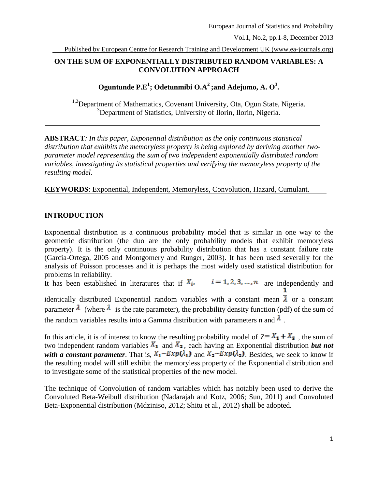Published by European Centre for Research Training and Development UK (www.ea-journals.org)

# **ON THE SUM OF EXPONENTIALLY DISTRIBUTED RANDOM VARIABLES: A CONVOLUTION APPROACH**

**Oguntunde P.E<sup>1</sup> ; Odetunmibi O.A<sup>2</sup> ;and Adejumo, A. O<sup>3</sup> .**

<sup>1,2</sup>Department of Mathematics, Covenant University, Ota, Ogun State, Nigeria. <sup>3</sup>Department of Statistics, University of Ilorin, Ilorin, Nigeria.

**ABSTRACT***: In this paper, Exponential distribution as the only continuous statistical distribution that exhibits the memoryless property is being explored by deriving another twoparameter model representing the sum of two independent exponentially distributed random variables, investigating its statistical properties and verifying the memoryless property of the resulting model.*

**KEYWORDS**: Exponential, Independent, Memoryless, Convolution, Hazard, Cumulant.

# **INTRODUCTION**

Exponential distribution is a continuous probability model that is similar in one way to the geometric distribution (the duo are the only probability models that exhibit memoryless property). It is the only continuous probability distribution that has a constant failure rate (Garcia-Ortega, 2005 and Montgomery and Runger, 2003). It has been used severally for the analysis of Poisson processes and it is perhaps the most widely used statistical distribution for problems in reliability.

It has been established in literatures that if  $X_i$ ,  $i = 1, 2, 3, ..., n$  are independently and

identically distributed Exponential random variables with a constant mean  $\overline{\lambda}$  or a constant parameter  $\lambda$  (where  $\lambda$  is the rate parameter), the probability density function (pdf) of the sum of the random variables results into a Gamma distribution with parameters n and  $\lambda$ .

In this article, it is of interest to know the resulting probability model of  $Z = X_1 + X_2$ , the sum of two independent random variables  $X_1$  and  $X_2$ , each having an Exponential distribution *but not with a constant parameter*. That is,  $X_1 \sim Exp(\lambda_1)$  and  $X_2 \sim Exp(\lambda_2)$ . Besides, we seek to know if the resulting model will still exhibit the memoryless property of the Exponential distribution and to investigate some of the statistical properties of the new model.

The technique of Convolution of random variables which has notably been used to derive the Convoluted Beta-Weibull distribution (Nadarajah and Kotz, 2006; Sun, 2011) and Convoluted Beta-Exponential distribution (Mdziniso, 2012; Shitu et al., 2012) shall be adopted.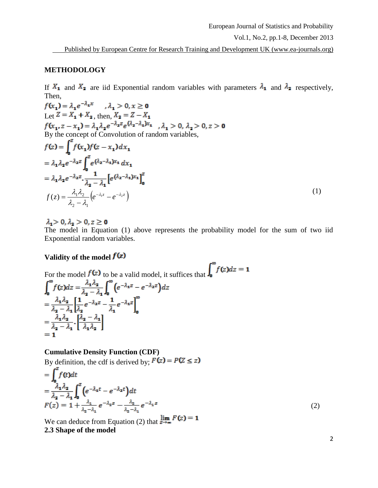Published by European Centre for Research Training and Development UK (www.ea-journals.org)

#### **METHODOLOGY**

If  $X_1$  and  $X_2$  are iid Exponential random variables with parameters  $\lambda_1$  and  $\lambda_2$  respectively, Then,

 $f(x_i) = \lambda_i e^{-\lambda_i x}$ ,  $\lambda_i > 0, x \ge 0$ Let  $Z = X_1 + X_2$ , then,  $X_2 = Z - X_1$  $f(x_1, z - x_1) = \lambda_1 \lambda_2 e^{-\lambda_2 z} e^{(\lambda_2 - \lambda_1)x_1}$ ,  $\lambda_1 > 0$ ,  $\lambda_2 > 0$ ,  $z > 0$ <br>By the concept of Convolution of random variables,  $f(z) = \int_0^z f(x_1) f(z - x_1) dx_1$  $= \lambda_1 \lambda_2 e^{-\lambda_2 z} \int_0^z e^{(\lambda_2 - \lambda_1)x_1} dx_1$  $= \lambda_1 \lambda_2 e^{-\lambda_2 z} \cdot \frac{1}{\lambda_2 - \lambda_1} \left[ e^{(\lambda_2 - \lambda_1)x_1} \right]_0^z$ (1)  $\frac{\lambda_1\lambda_2}{\lambda_2-\lambda_1}\big(e^{-\lambda_1 z}-e^{-\lambda_2 z}\big).$  $f(z) = \frac{\lambda_1 \lambda_2}{z} \left( e^{-\lambda_1 z} - e^{-\lambda_2 z} \right)$  $\lambda(z) = \frac{\lambda_1 \lambda_2}{z} \left( e^{-\lambda_1 z} - e^{-\lambda_2 z} \right)$  $=$  $-\lambda_1$   $\sim$   $\sim$   $\sim$   $\sim$   $\sim$ 2  $\mathcal{L}_1$ 

 $\lambda_1 > 0, \lambda_2 > 0, z \ge 0$ 

The model in Equation (1) above represents the probability model for the sum of two iid Exponential random variables.

### **Validity of the model**

For the model  $f(z)$  to be a valid model, it suffices that  $\int_0^\infty f(z)dz = 1$ <br> $\int_0^\infty f(z)dz = \frac{\lambda_1 \lambda_2}{\lambda_2 - \lambda_1} \int_0^\infty (e^{-\lambda_1 z} - e^{-\lambda_2 z})dz$  $= \frac{\lambda_1 \lambda_2}{\lambda_2 - \lambda_1} \left[ \frac{1}{\lambda_2} e^{-\lambda_2 z} - \frac{1}{\lambda_1} e^{-\lambda_1 z} \right]^\infty$  $=\frac{\lambda_1\lambda_2}{\lambda_2-\lambda_1}\cdot\left[\frac{\lambda_2-\lambda_1}{\lambda_1\lambda_2}\right]$ 

#### **Cumulative Density Function (CDF)**

By definition, the cdf is derived by;  $F(z) = P(z \le z)$ 

$$
= \int_0^2 f(t)dt
$$
  
\n
$$
= \frac{\lambda_1 \lambda_2}{\lambda_2 - \lambda_1} \int_0^z \left( e^{-\lambda_1 t} - e^{-\lambda_2 t} \right) dt
$$
  
\n
$$
F(z) = 1 + \frac{\lambda_1}{\lambda_2 - \lambda_1} e^{-\lambda_2 z} - \frac{\lambda_2}{\lambda_2 - \lambda_1} e^{-\lambda_1 z}
$$
\n(2)

We can deduce from Equation (2) that  $\lim_{z \to \infty} F(z) = 1$ **2.3 Shape of the model**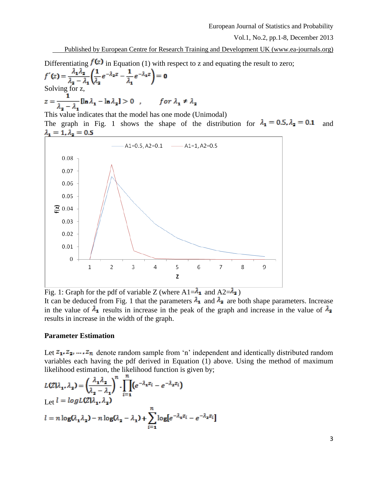Published by European Centre for Research Training and Development UK (www.ea-journals.org)

Differentiating  $f(z)$  in Equation (1) with respect to z and equating the result to zero;

$$
f'(z) = \frac{\lambda_1 \lambda_2}{\lambda_2 - \lambda_1} \left( \frac{1}{\lambda_2} e^{-\lambda_2 z} - \frac{1}{\lambda_1} e^{-\lambda_1 z} \right) = 0
$$
  
Solving for z,  

$$
z = \frac{1}{\lambda_2 - \lambda_1} [\ln \lambda_1 - \ln \lambda_2] > 0 \quad , \qquad \text{for } \lambda_1 \neq \lambda_2
$$

This value indicates that the model has one mode (Unimodal)

The graph in Fig. 1 shows the shape of the distribution for  $\lambda_1 = 0.5$ ,  $\lambda_2 = 0.1$  and  $\lambda_1 = 1, \lambda_2 = 0.5$ 



Fig. 1: Graph for the pdf of variable Z (where  $A1=\lambda_1$  and  $A2=\lambda_2$ )

It can be deduced from Fig. 1 that the parameters  $\lambda_1$  and  $\lambda_2$  are both shape parameters. Increase in the value of  $\lambda_1$  results in increase in the peak of the graph and increase in the value of  $\lambda_2$ results in increase in the width of the graph.

### **Parameter Estimation**

Let  $z_1, z_2, ..., z_n$  denote random sample from 'n' independent and identically distributed random variables each having the pdf derived in Equation (1) above. Using the method of maximum likelihood estimation, the likelihood function is given by;

$$
L(Z|\lambda_1, \lambda_2) = \left(\frac{\lambda_1 \lambda_2}{\lambda_2 - \lambda_1}\right)^n \cdot \prod_{i=1}^n (e^{-\lambda_1 z_i} - e^{-\lambda_2 z_i})
$$
  
Let  $l = log L(Z|\lambda_1, \lambda_2)$   

$$
l = n log(\lambda_1 \lambda_2) - n log(\lambda_2 - \lambda_1) + \sum_{i=1}^n log[e^{-\lambda_1 z_i} - e^{-\lambda_2 z_i}]
$$

3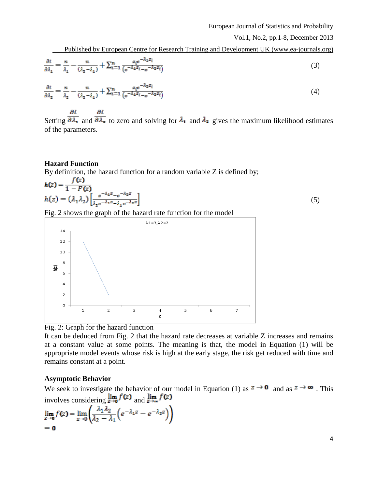Published by European Centre for Research Training and Development UK (www.ea-journals.org)

$$
\frac{\partial l}{\partial \lambda_1} = \frac{n}{\lambda_1} - \frac{n}{(\lambda_2 - \lambda_1)} + \sum_{i=1}^n \frac{z_i e^{-\lambda_1 z_i}}{(e^{-\lambda_1 z_i} - e^{-\lambda_2 z_i})}
$$
(3)

$$
\frac{\partial l}{\partial \lambda_2} = \frac{n}{\lambda_2} - \frac{n}{(\lambda_2 - \lambda_1)} + \sum_{i=1}^n \frac{z_i e^{-\lambda_2 z_i}}{(e^{-\lambda_1 z_i} - e^{-\lambda_2 z_i})}
$$
(4)

 $\partial l$ дı Setting  $\overline{\partial \lambda_1}$  and  $\overline{\partial \lambda_2}$  to zero and solving for  $\lambda_1$  and  $\lambda_2$  gives the maximum likelihood estimates of the parameters.

### **Hazard Function**

By definition, the hazard function for a random variable  $Z$  is defined by;

$$
h(z) = \frac{f(z)}{1 - F(z)}
$$
  
 
$$
h(z) = (\lambda_1 \lambda_2) \left[ \frac{e^{-\lambda_1 z} - e^{-\lambda_2 z}}{\lambda_2 e^{-\lambda_1 z} - \lambda_1 e^{-\lambda_2 z}} \right]
$$
 (5)

Fig. 2 shows the graph of the hazard rate function for the model





It can be deduced from Fig. 2 that the hazard rate decreases at variable Z increases and remains at a constant value at some points. The meaning is that, the model in Equation (1) will be appropriate model events whose risk is high at the early stage, the risk get reduced with time and remains constant at a point.

#### **Asymptotic Behavior**

We seek to investigate the behavior of our model in Equation (1) as  $z \to 0$  and as  $z \to \infty$ . This involves considering  $\lim_{z\to 0} f(z)$  and  $\lim_{z\to \infty} f(z)$ 

$$
\lim_{z \to 0} f(z) = \lim_{z \to 0} \left( \frac{\lambda_1 \lambda_2}{\lambda_2 - \lambda_1} \left( e^{-\lambda_1 z} - e^{-\lambda_2 z} \right) \right)
$$
  
= 0

4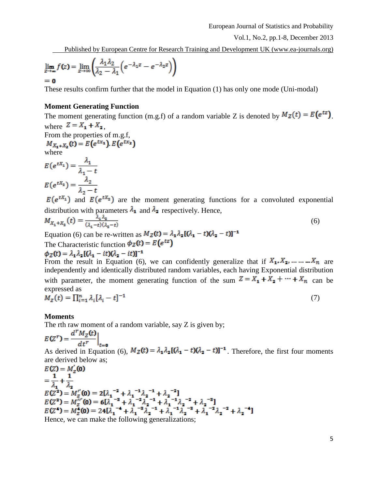Published by European Centre for Research Training and Development UK (www.ea-journals.org)

$$
\lim_{z \to \infty} f(z) = \lim_{z \to \infty} \left( \frac{\lambda_1 \lambda_2}{\lambda_2 - \lambda_1} \left( e^{-\lambda_1 z} - e^{-\lambda_2 z} \right) \right)
$$

These results confirm further that the model in Equation (1) has only one mode (Uni-modal)

### **Moment Generating Function**

The moment generating function (m.g.f) of a random variable Z is denoted by  $M_Z(t) = E(e^{tz})$ . where  $Z = X_1 + X_2$ , From the properties of m.g.f.

From the properties of m.g.,  

$$
M_{X_1+X_2}(t) = E(e^{tx_1}), E(e^{tx_2})
$$
  
where

$$
E(e^{tX_1}) = \frac{\lambda_1}{\lambda_1 - t}
$$

$$
E(e^{tX_2}) = \frac{\lambda_2}{\lambda_2 - t}
$$

 $E(e^{tX_1})$  and  $E(e^{tX_2})$  are the moment generating functions for a convoluted exponential distribution with parameters  $\lambda_1$  and  $\lambda_2$  respectively. Hence,

$$
M_{X_1+X_2}(t) = \frac{\lambda_1 \lambda_2}{(\lambda_1 - t)(\lambda_2 - t)}\tag{6}
$$

Equation (6) can be re-written as  $M_Z(t) = \lambda_1 \lambda_2 [(\lambda_1 - t)(\lambda_2 - t)]^{-1}$ The Characteristic function  $\phi_Z(t) = E(e^{tz})$ 

$$
\phi_Z(t) = \lambda_1 \lambda_2 [(\lambda_1 - it)(\lambda_2 - it)]^{-1}
$$

From the result in Equation (6), we can confidently generalize that if  $X_1, X_2, \dots, X_n$  are independently and identically distributed random variables, each having Exponential distribution with parameter, the moment generating function of the sum  $Z = X_1 + X_2 + \cdots + X_n$  can be expressed as

$$
M_Z(t) = \prod_{i=1}^n \lambda_i [\lambda_i - t]^{-1} \tag{7}
$$

#### **Moments**

The rth raw moment of a random variable, say Z is given by;

$$
E(Z^r) = \frac{d^r M_Z(t)}{dt^r}
$$

 $t=0$ As derived in Equation (6),  $M_Z(t) = \lambda_1 \lambda_2 [(\lambda_1 - t)(\lambda_2 - t)]^{-1}$ . Therefore, the first four moments

are derived below as;<br> $E(Z) = M'_z(0)$  $=\frac{1}{\lambda_1}+\frac{1}{\lambda_2}$  $E(Z^2) = M_Z''(0) = 2[\lambda_1^{-2} + \lambda_1^{-1}\lambda_2^{-1} + \lambda_2^{-2}]$ <br>  $E(Z^2) = M_Z''(0) = 6[\lambda_1^{-2} + \lambda_1^{-2}\lambda_2^{-1} + \lambda_1^{-1}\lambda_2^{-2} + \lambda_2^{-2}]$ <br>  $E(Z^4) = M_Z^4(0) = 24[\lambda_1^{-4} + \lambda_1^{-3}\lambda_2^{-1} + \lambda_1^{-1}\lambda_2^{-3} + \lambda_1^{-2}\lambda_2^{-2} + \lambda_2^{-4}]$ <br>
Hence, we can make the following

5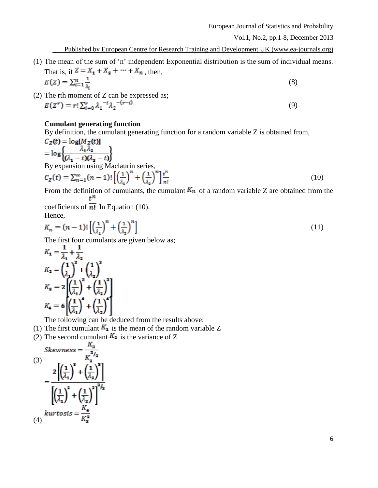(9)

Published by European Centre for Research Training and Development UK (www.ea-journals.org)

- (1) The mean of the sum of 'n' independent Exponential distribution is the sum of individual means. That is, if  $Z = X_1 + X_2 + \cdots + X_n$ , then,  $E(Z) = \sum_{i=1}^n \frac{1}{\lambda_i}$ (8)
- (2) The rth moment of Z can be expressed as;<br> $E(Z^r) = r! \sum_{i=0}^{r} \lambda_1^{-i} \lambda_2^{-(r-i)}$

### **Cumulant generating function**

By definition, the cumulant generating function for a random variable Z is obtained from,

$$
C_Z(t) = \log[M_Z(t)]
$$
  
=  $\log \left\{ \frac{\lambda_1 \lambda_2}{(\lambda_1 - t)(\lambda_2 - t)} \right\}$   
By expansion using Maclaurin series,  

$$
C_Z(t) = \sum_{n=1}^{\infty} (n-1)! \left[ \left(\frac{1}{\lambda_1}\right)^n + \left(\frac{1}{\lambda_2}\right)^n \right] \frac{t^n}{n!}
$$
 (10)

From the definition of cumulants, the cumulant  $K_n$  of a random variable Z are obtained from the  $t^n$ 

coefficients of  $\overline{n!}$  In Equation (10). Hence,

$$
K_n = (n-1)! \left[ \left( \frac{1}{\lambda_1} \right)^n + \left( \frac{1}{\lambda_2} \right)^n \right] \tag{11}
$$

The first four cumulants are given below as;

$$
K_1 = \frac{1}{\lambda_1} + \frac{1}{\lambda_2}
$$
  
\n
$$
K_2 = \left(\frac{1}{\lambda_1}\right)^2 + \left(\frac{1}{\lambda_2}\right)^2
$$
  
\n
$$
K_3 = 2\left[\left(\frac{1}{\lambda_1}\right)^3 + \left(\frac{1}{\lambda_2}\right)^3\right]
$$
  
\n
$$
K_4 = 6\left[\left(\frac{1}{\lambda_1}\right)^4 + \left(\frac{1}{\lambda_2}\right)^4\right]
$$

The following can be deduced from the results above;

- (1) The first cumulant  $K_1$  is the mean of the random variable Z
- (2) The second cumulant  $K_2$  is the variance of Z

$$
Skewness = \frac{\Lambda_3}{K_2^2}
$$
  
(3)  

$$
= \frac{2\left[\left(\frac{1}{\lambda_1}\right)^2 + \left(\frac{1}{\lambda_2}\right)^2\right]}{\left[\left(\frac{1}{\lambda_1}\right)^2 + \left(\frac{1}{\lambda_2}\right)^2\right]^{2/2}}
$$
  
(4)  

$$
kurtosis = \frac{K_4}{K_2^2}
$$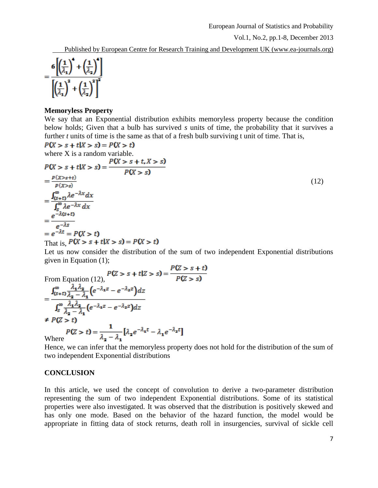Published by European Centre for Research Training and Development UK (www.ea-journals.org)

$$
=\frac{6\left[\left(\frac{1}{\lambda_1}\right)^4+\left(\frac{1}{\lambda_2}\right)^4\right]}{\left[\left(\frac{1}{\lambda_1}\right)^2+\left(\frac{1}{\lambda_2}\right)^2\right]^2}
$$

### **Memoryless Property**

We say that an Exponential distribution exhibits memoryless property because the condition below holds; Given that a bulb has survived *s* units of time, the probability that it survives a further *t* units of time is the same as that of a fresh bulb surviving t unit of time. That is,

 $P(X > s + t | X > s) = P(X > t)$ where X is a random variable.<br> $P(X > s + t | X > s) = \frac{P(X > s + t, X > s)}{P(X > s)}$  $=\frac{p(x>s+t)}{p(x>s)}$ (12)  $=\frac{\int_{(s+t)}^{\infty} \lambda e^{-\lambda x} dx}{\int_{s}^{\infty} \lambda e^{-\lambda x} dx}$ <br>=  $\frac{e^{-\lambda(s+t)}}{-\lambda s}$  $e^{-\lambda s}$  $= e^{-\lambda t} = P(X > t)$ That is,  $P(X > s + t | X > s) = P(X > t)$ 

Let us now consider the distribution of the sum of two independent Exponential distributions given in Equation (1);

From Equation (12),  
\n
$$
P(Z > s + t | Z > s) = \frac{P(Z > s + t)}{P(Z > s)}
$$
\n
$$
= \frac{\int_{(s+t)}^{\infty} \frac{\lambda_1 \lambda_2}{\lambda_2 - \lambda_1} \left(e^{-\lambda_1 z} - e^{-\lambda_2 z}\right) dz}{\int_{s}^{\infty} \frac{\lambda_1 \lambda_2}{\lambda_2 - \lambda_1} \left(e^{-\lambda_1 z} - e^{-\lambda_2 z}\right) dz}
$$
\n
$$
\neq P(Z > t)
$$
\n
$$
P(Z > t) = \frac{1}{\lambda_2 - \lambda_1} \left[\lambda_2 e^{-\lambda_1 t} - \lambda_1 e^{-\lambda_2 t}\right]
$$
\nWhere

Hence, we can infer that the memoryless property does not hold for the distribution of the sum of two independent Exponential distributions

## **CONCLUSION**

In this article, we used the concept of convolution to derive a two-parameter distribution representing the sum of two independent Exponential distributions. Some of its statistical properties were also investigated. It was observed that the distribution is positively skewed and has only one mode. Based on the behavior of the hazard function, the model would be appropriate in fitting data of stock returns, death roll in insurgencies, survival of sickle cell